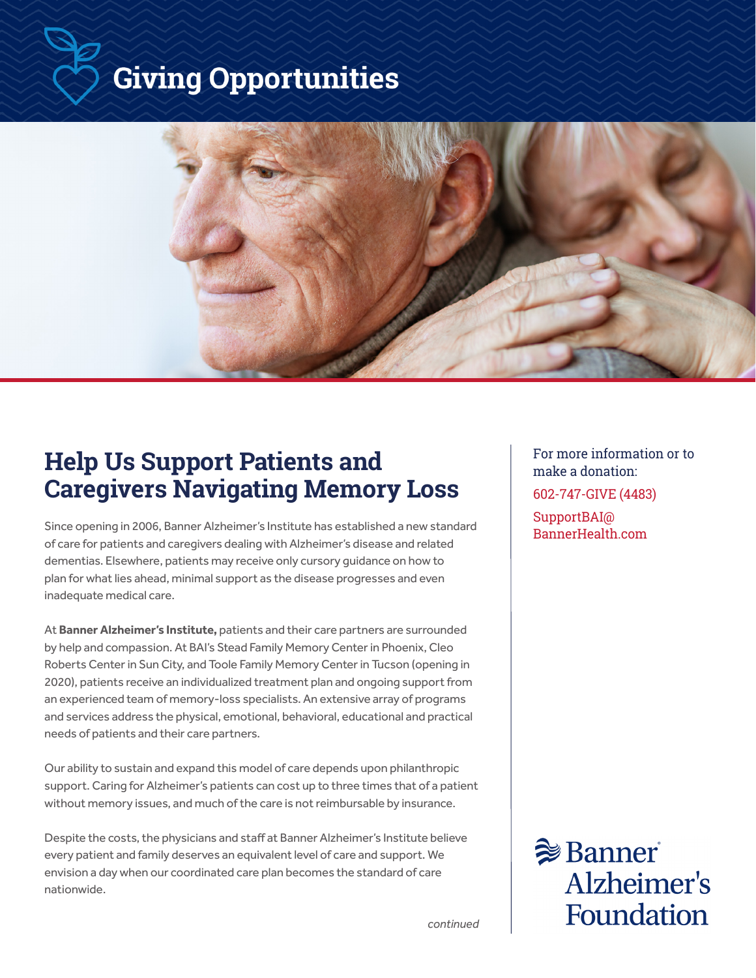# **Giving Opportunities**



# **Help Us Support Patients and Caregivers Navigating Memory Loss**

Since opening in 2006, Banner Alzheimer's Institute has established a new standard of care for patients and caregivers dealing with Alzheimer's disease and related dementias. Elsewhere, patients may receive only cursory guidance on how to plan for what lies ahead, minimal support as the disease progresses and even inadequate medical care.

At **Banner Alzheimer's Institute,** patients and their care partners are surrounded by help and compassion. At BAI's Stead Family Memory Center in Phoenix, Cleo Roberts Center in Sun City, and Toole Family Memory Center in Tucson (opening in 2020), patients receive an individualized treatment plan and ongoing support from an experienced team of memory-loss specialists. An extensive array of programs and services address the physical, emotional, behavioral, educational and practical needs of patients and their care partners.

Our ability to sustain and expand this model of care depends upon philanthropic support. Caring for Alzheimer's patients can cost up to three times that of a patient without memory issues, and much of the care is not reimbursable by insurance.

Despite the costs, the physicians and staff at Banner Alzheimer's Institute believe every patient and family deserves an equivalent level of care and support. We envision a day when our coordinated care plan becomes the standard of care nationwide.

For more information or to make a donation: 602-747-GIVE (4483) SupportBAI@ BannerHealth.com

 $\geqslant$  Banner Alzheimer's **Foundation** 

*continued*